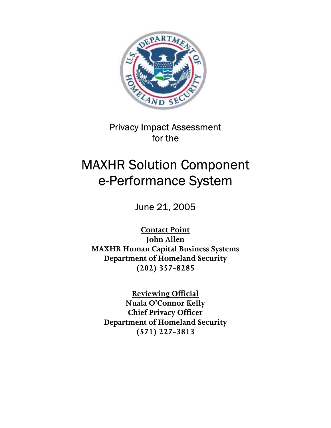

Privacy Impact Assessment for the

# MAXHR Solution Component e-Performance System

June 21, 2005

**Contact Point John Allen MAXHR Human Capital Business Systems Department of Homeland Security (202) 357-8285** 

**Reviewing Official Nuala O'Connor Kelly Chief Privacy Officer Department of Homeland Security (571) 227-3813**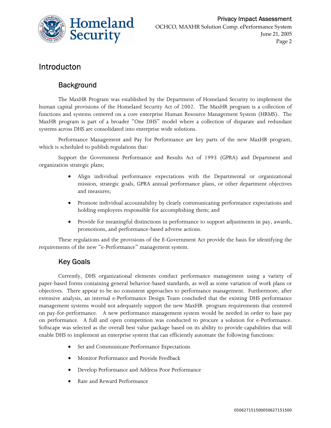

## Introducton

### **Background**

The MaxHR Program was established by the Department of Homeland Security to implement the human capital provisions of the Homeland Security Act of 2002. The MaxHR program is a collection of functions and systems centered on a core enterprise Human Resource Management System (HRMS). The MaxHR program is part of a broader "One DHS" model where a collection of disparate and redundant systems across DHS are consolidated into enterprise wide solutions.

Performance Management and Pay for Performance are key parts of the new MaxHR program, which is scheduled to publish regulations that:

Support the Government Performance and Results Act of 1993 (GPRA) and Department and organization strategic plans;

- Align individual performance expectations with the Departmental or organizational mission, strategic goals, GPRA annual performance plans, or other department objectives and measures;
- Promote individual accountability by clearly communicating performance expectations and holding employees responsible for accomplishing them; and
- Provide for meaningful distinctions in performance to support adjustments in pay, awards, promotions, and performance-based adverse actions.

These regulations and the provisions of the E-Government Act provide the basis for identifying the requirements of the new "e-Performance" management system.

### Key Goals

Currently, DHS organizational elements conduct performance management using a variety of paper-based forms containing general behavior-based standards, as well as some variation of work plans or objectives. There appear to be no consistent approaches to performance management. Furthermore, after extensive analysis, an internal e-Performance Design Team concluded that the existing DHS performance management systems would not adequately support the new MaxHR program requirements that centered on pay-for-performance. A new performance management system would be needed in order to base pay on performance. A full and open competition was conducted to procure a solution for e-Performance. Softscape was selected as the overall best value package based on its ability to provide capabilities that will enable DHS to implement an enterprise system that can efficiently automate the following functions:

- Set and Communicate Performance Expectations
- Monitor Performance and Provide Feedback
- Develop Performance and Address Poor Performance
- Rate and Reward Performance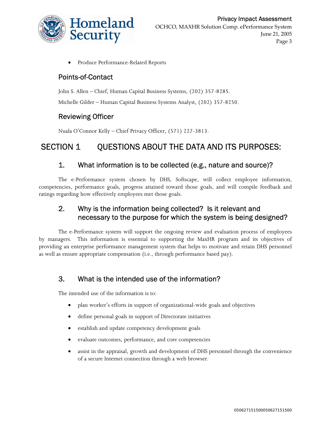

• Produce Performance-Related Reports

#### Points-of-Contact

John S. Allen – Chief, Human Capital Business Systems, (202) 357-8285. Michelle Gilder – Human Capital Business Systems Analyst, (202) 357-8250.

### Reviewing Officer

Nuala O'Connor Kelly – Chief Privacy Officer, (571) 227-3813.

# SECTION 1 OUESTIONS ABOUT THE DATA AND ITS PURPOSES:

#### 1. What information is to be collected (e.g., nature and source)?

The e-Performance system chosen by DHS, Softscape, will collect employee information, competencies, performance goals, progress attained toward those goals, and will compile feedback and ratings regarding how effectively employees met those goals.

### 2. Why is the information being collected? Is it relevant and necessary to the purpose for which the system is being designed?

The e-Performance system will support the ongoing review and evaluation process of employees by managers. This information is essential to supporting the MaxHR program and its objectives of providing an enterprise performance management system that helps to motivate and retain DHS personnel as well as ensure appropriate compensation (i.e., through performance based pay).

### 3. What is the intended use of the information?

The intended use of the information is to:

- plan worker's efforts in support of organizational-wide goals and objectives
- define personal goals in support of Directorate initiatives
- establish and update competency development goals
- evaluate outcomes, performance, and core competencies
- assist in the appraisal, growth and development of DHS personnel through the convenience of a secure Internet connection through a web browser.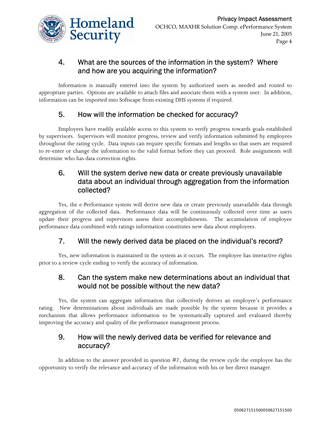

### 4. What are the sources of the information in the system? Where and how are you acquiring the information?

Information is manually entered into the system by authorized users as needed and routed to appropriate parties. Options are available to attach files and associate them with a system user. In addition, information can be imported into Softscape from existing DHS systems if required.

### 5. How will the information be checked for accuracy?

Employees have readily available access to this system to verify progress towards goals established by supervisors. Supervisors will monitor progress, review and verify information submitted by employees throughout the rating cycle. Data inputs can require specific formats and lengths so that users are required to re-enter or change the information to the valid format before they can proceed. Role assignments will determine who has data correction rights.

### 6. Will the system derive new data or create previously unavailable data about an individual through aggregation from the information collected?

Yes, the e-Performance system will derive new data or create previously unavailable data through aggregation of the collected data. Performance data will be continuously collected over time as users update their progress and supervisors assess their accomplishments. The accumulation of employee performance data combined with ratings information constitutes new data about employees.

### 7. Will the newly derived data be placed on the individual's record?

Yes, new information is maintained in the system as it occurs. The employee has interactive rights prior to a review cycle ending to verify the accuracy of information.

### 8. Can the system make new determinations about an individual that would not be possible without the new data?

Yes, the system can aggregate information that collectively derives an employee's performance rating. New determinations about individuals are made possible by the system because it provides a mechanism that allows performance information to be systematically captured and evaluated thereby improving the accuracy and quality of the performance management process.

### 9. How will the newly derived data be verified for relevance and accuracy?

In addition to the answer provided in question #7, during the review cycle the employee has the opportunity to verify the relevance and accuracy of the information with his or her direct manager.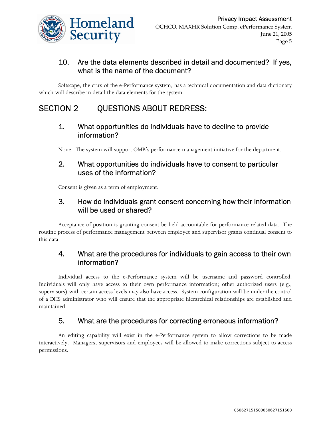

### 10. Are the data elements described in detail and documented? If yes, what is the name of the document?

Softscape, the crux of the e-Performance system, has a technical documentation and data dictionary which will describe in detail the data elements for the system.

## SECTION 2 QUESTIONS ABOUT REDRESS:

### 1. What opportunities do individuals have to decline to provide information?

None. The system will support OMB's performance management initiative for the department.

### 2. What opportunities do individuals have to consent to particular uses of the information?

Consent is given as a term of employment.

### 3. How do individuals grant consent concerning how their information will be used or shared?

Acceptance of position is granting consent be held accountable for performance related data. The routine process of performance management between employee and supervisor grants continual consent to this data.

### 4. What are the procedures for individuals to gain access to their own information?

Individual access to the e-Performance system will be username and password controlled. Individuals will only have access to their own performance information; other authorized users (e.g., supervisors) with certain access levels may also have access. System configuration will be under the control of a DHS administrator who will ensure that the appropriate hierarchical relationships are established and maintained.

### 5. What are the procedures for correcting erroneous information?

An editing capability will exist in the e-Performance system to allow corrections to be made interactively. Managers, supervisors and employees will be allowed to make corrections subject to access permissions.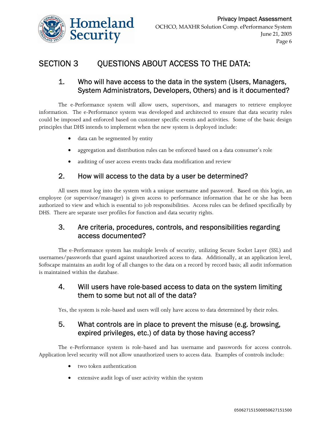

# SECTION 3 QUESTIONS ABOUT ACCESS TO THE DATA:

### 1. Who will have access to the data in the system (Users, Managers, System Administrators, Developers, Others) and is it documented?

The e-Performance system will allow users, supervisors, and managers to retrieve employee information. The e-Performance system was developed and architected to ensure that data security rules could be imposed and enforced based on customer specific events and activities. Some of the basic design principles that DHS intends to implement when the new system is deployed include:

- data can be segmented by entity
- aggregation and distribution rules can be enforced based on a data consumer's role
- auditing of user access events tracks data modification and review

### 2. How will access to the data by a user be determined?

All users must log into the system with a unique username and password. Based on this login, an employee (or supervisor/manager) is given access to performance information that he or she has been authorized to view and which is essential to job responsibilities. Access rules can be defined specifically by DHS. There are separate user profiles for function and data security rights.

### 3. Are criteria, procedures, controls, and responsibilities regarding access documented?

The e-Performance system has multiple levels of security, utilizing Secure Socket Layer (SSL) and usernames/passwords that guard against unauthorized access to data. Additionally, at an application level, Softscape maintains an audit log of all changes to the data on a record by record basis; all audit information is maintained within the database.

### 4. Will users have role-based access to data on the system limiting them to some but not all of the data?

Yes, the system is role-based and users will only have access to data determined by their roles.

### 5. What controls are in place to prevent the misuse (e.g. browsing, expired privileges, etc.) of data by those having access?

The e-Performance system is role-based and has username and passwords for access controls. Application level security will not allow unauthorized users to access data. Examples of controls include:

- two token authentication
- extensive audit logs of user activity within the system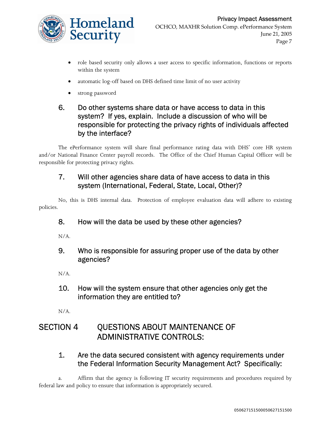

- role based security only allows a user access to specific information, functions or reports within the system
- automatic log-off based on DHS defined time limit of no user activity
- strong password

### 6. Do other systems share data or have access to data in this system? If yes, explain. Include a discussion of who will be responsible for protecting the privacy rights of individuals affected by the interface?

The ePerformance system will share final performance rating data with DHS' core HR system and/or National Finance Center payroll records. The Office of the Chief Human Capital Officer will be responsible for protecting privacy rights.

### 7. Will other agencies share data of have access to data in this system (International, Federal, State, Local, Other)?

No, this is DHS internal data. Protection of employee evaluation data will adhere to existing policies.

### 8. How will the data be used by these other agencies?

N/A.

9. Who is responsible for assuring proper use of the data by other agencies?

N/A.

10. How will the system ensure that other agencies only get the information they are entitled to?

N/A.

# SECTION 4 QUESTIONS ABOUT MAINTENANCE OF ADMINISTRATIVE CONTROLS:

### 1. Are the data secured consistent with agency requirements under the Federal Information Security Management Act? Specifically:

a. Affirm that the agency is following IT security requirements and procedures required by federal law and policy to ensure that information is appropriately secured.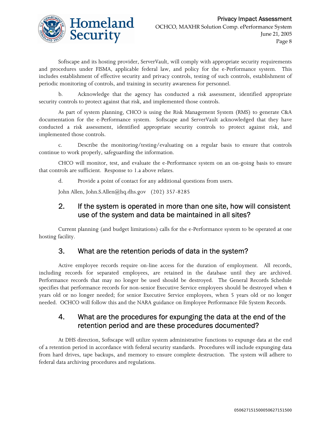

Softscape and its hosting provider, ServerVault, will comply with appropriate security requirements and procedures under FISMA, applicable federal law, and policy for the e-Performance system. This includes establishment of effective security and privacy controls, testing of such controls, establishment of periodic monitoring of controls, and training in security awareness for personnel.

b. Acknowledge that the agency has conducted a risk assessment, identified appropriate security controls to protect against that risk, and implemented those controls.

As part of system planning, CHCO is using the Risk Management System (RMS) to generate C&A documentation for the e-Performance system. Softscape and ServerVault acknowledged that they have conducted a risk assessment, identified appropriate security controls to protect against risk, and implemented those controls.

c. Describe the monitoring/testing/evaluating on a regular basis to ensure that controls continue to work properly, safeguarding the information.

CHCO will monitor, test, and evaluate the e-Performance system on an on-going basis to ensure that controls are sufficient. Response to 1.a above relates.

d. Provide a point of contact for any additional questions from users.

John Allen, John.S.Allen@hq.dhs.gov (202) 357-8285

### 2. If the system is operated in more than one site, how will consistent use of the system and data be maintained in all sites?

Current planning (and budget limitations) calls for the e-Performance system to be operated at one hosting facility.

#### 3. What are the retention periods of data in the system?

Active employee records require on-line access for the duration of employment. All records, including records for separated employees, are retained in the database until they are archived. Performance records that may no longer be used should be destroyed. The General Records Schedule specifies that performance records for non-senior Executive Service employees should be destroyed when 4 years old or no longer needed; for senior Executive Service employees, when 5 years old or no longer needed. OCHCO will follow this and the NARA guidance on Employee Performance File System Records.

### 4. What are the procedures for expunging the data at the end of the retention period and are these procedures documented?

At DHS direction, Softscape will utilize system administrative functions to expunge data at the end of a retention period in accordance with federal security standards. Procedures will include expunging data from hard drives, tape backups, and memory to ensure complete destruction. The system will adhere to federal data archiving procedures and regulations.